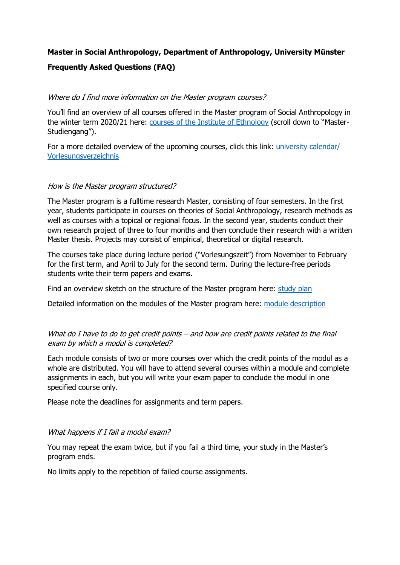# **Master in Social Anthropology, Department of Anthropology, University Münster**

# **Frequently Asked Questions (FAQ)**

#### Where do I find more information on the Master program courses?

You'll find an overview of all courses offered in the Master program of Social Anthropology in the winter term 2020/21 here: [courses of the Institute](https://www.uni-muenster.de/imperia/md/content/ethnologie/studieren/vorlesungsverzeichnisse/ethnologie_ws_202021.pdf) of Ethnology (scroll down to "Master-Studiengang").

For a more detailed overview of the upcoming courses, click this link: [university calendar/](https://studium.uni-muenster.de/qisserver/rds?state=wtree&search=1&trex=step&root120202=219543%7C215635%7C217922&P.vx=kurz)  [Vorlesungsverzeichnis](https://studium.uni-muenster.de/qisserver/rds?state=wtree&search=1&trex=step&root120202=219543%7C215635%7C217922&P.vx=kurz)

#### How is the Master program structured?

The Master program is a fulltime research Master, consisting of four semesters. In the first year, students participate in courses on theories of Social Anthropology, research methods as well as courses with a topical or regional focus. In the second year, students conduct their own research project of three to four months and then conclude their research with a written Master thesis. Projects may consist of empirical, theoretical or digital research.

The courses take place during lecture period ("Vorlesungszeit") from November to February for the first term, and April to July for the second term. During the lecture-free periods students write their term papers and exams.

Find an overview sketch on the structure of the Master program here: [study plan](https://www.uni-muenster.de/imperia/md/content/ethnologie/studieren/master/master_module_overview__from_ws_2016_17_.pdf)

Detailed information on the modules of the Master program here: module [description](https://www.uni-muenster.de/imperia/md/content/ethnologie/studieren/master/re-akk_master_module_descriptions__from_ws_2016_17_.pdf)

# What do I have to do to get credit points – and how are credit points related to the final exam by which a modul is completed?

Each module consists of two or more courses over which the credit points of the modul as a whole are distributed. You will have to attend several courses within a module and complete assignments in each, but you will write your exam paper to conclude the modul in one specified course only.

Please note the deadlines for assignments and term papers.

#### What happens if I fail a modul exam?

You may repeat the exam twice, but if you fail a third time, your study in the Master's program ends.

No limits apply to the repetition of failed course assignments.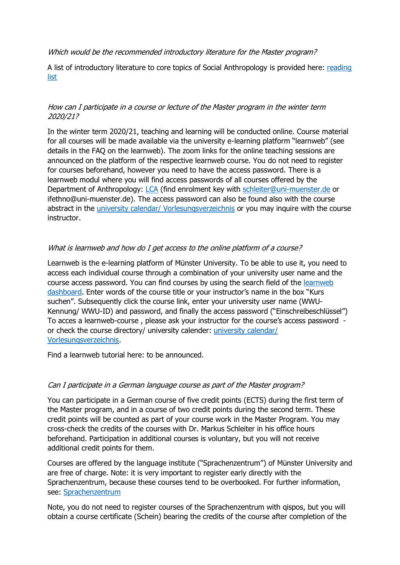Which would be the recommended introductory literature for the Master program?

A list of introductory literature to core topics of Social Anthropology is provided here: [reading](https://www.uni-muenster.de/imperia/md/content/ethnologie/studieren/master/key_readings_master_in_social_anthropology.pdf)  [list](https://www.uni-muenster.de/imperia/md/content/ethnologie/studieren/master/key_readings_master_in_social_anthropology.pdf)

## How can I participate in a course or lecture of the Master program in the winter term 2020/21?

In the winter term 2020/21, teaching and learning will be conducted online. Course material for all courses will be made available via the university e-learning platform "learnweb" (see details in the FAQ on the learnweb). The zoom links for the online teaching sessions are announced on the platform of the respective learnweb course. You do not need to register for courses beforehand, however you need to have the access password. There is a learnweb modul where you will find access passwords of all courses offered by the Department of Anthropology: [LCA](https://www.uni-muenster.de/LearnWeb/learnweb2/course/view.php?id=48841) (find enrolment key with [schleiter@uni-muenster.de](mailto:schleiter@uni-muenster.de) or ifethno@uni-muenster.de). The access password can also be found also with the course abstract in the *university calendar*/ Vorlesungsverzeichnis or you may inquire with the course instructor.

# What is learnweb and how do I get access to the online platform of a course?

Learnweb is the e-learning platform of Münster University. To be able to use it, you need to access each individual course through a combination of your university user name and the course access password. You can find courses by using the search field of the [learnweb](https://www.uni-muenster.de/LearnWeb/learnweb2/?lang=en)  [dashboard.](https://www.uni-muenster.de/LearnWeb/learnweb2/?lang=en) Enter words of the course title or your instructor's name in the box "Kurs suchen". Subsequently click the course link, enter your university user name (WWU-Kennung/ WWU-ID) and password, and finally the access password ("Einschreibeschlüssel") To acces a learnweb-course , please ask your instructor for the course's access password or check the course directory/ university calender: [university calendar/](https://studium.uni-muenster.de/qisserver/rds?state=wtree&search=1&trex=step&root120202=219543%7C215635%7C217922&P.vx=kurz)  [Vorlesungsverzeichnis.](https://studium.uni-muenster.de/qisserver/rds?state=wtree&search=1&trex=step&root120202=219543%7C215635%7C217922&P.vx=kurz)

Find a learnweb tutorial here: to be announced.

#### Can I participate in a German language course as part of the Master program?

You can participate in a German course of five credit points (ECTS) during the first term of the Master program, and in a course of two credit points during the second term. These credit points will be counted as part of your course work in the Master Program. You may cross-check the credits of the courses with Dr. Markus Schleiter in his office hours beforehand. Participation in additional courses is voluntary, but you will not receive additional credit points for them.

Courses are offered by the language institute ("Sprachenzentrum") of Münster University and are free of charge. Note: it is very important to register early directly with the Sprachenzentrum, because these courses tend to be overbooked. For further information, see: [Sprachenzentrum](https://www.uni-muenster.de/Sprachenzentrum/courses/WiSe20?lang=german_parallel)

Note, you do not need to register courses of the Sprachenzentrum with qispos, but you will obtain a course certificate (Schein) bearing the credits of the course after completion of the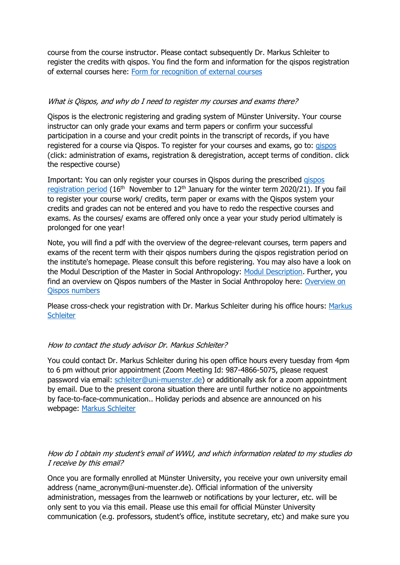course from the course instructor. Please contact subsequently Dr. Markus Schleiter to register the credits with qispos. You find the form and information for the qispos registration of external courses here: [Form for recognition of external courses](https://www.uni-muenster.de/imperia/md/content/ethnologie/studieren/downloads/recognition_of_courses_for_quispos_form__2_.pdf)

### What is Qispos, and why do I need to register my courses and exams there?

Qispos is the electronic registering and grading system of Münster University. Your course instructor can only grade your exams and term papers or confirm your successful participation in a course and your credit points in the transcript of records, if you have registered for a course via Qispos. To register for your courses and exams, go to: [qispos](https://studium.uni-muenster.de/qisserver/rds?state=user&type=0) (click: administration of exams, registration & deregistration, accept terms of condition. click the respective course)

Important: You can only register your courses in Qispos during the prescribed [qispos](https://www.uni-muenster.de/studium/pruefungen/qispos.html)  [registration period](https://www.uni-muenster.de/studium/pruefungen/qispos.html) (16<sup>th</sup> November to 12<sup>th</sup> January for the winter term 2020/21). If you fail to register your course work/ credits, term paper or exams with the Qispos system your credits and grades can not be entered and you have to redo the respective courses and exams. As the courses/ exams are offered only once a year your study period ultimately is prolonged for one year!

Note, you will find a pdf with the overview of the degree-relevant courses, term papers and exams of the recent term with their qispos numbers during the qispos registration period on the institute's homepage. Please consult this before registering. You may also have a look on the Modul Description of the Master in Social Anthropology: [Modul Description.](https://www.uni-muenster.de/imperia/md/content/ethnologie/studieren/master/re-akk_master_module_descriptions__from_ws_2016_17_.pdf) Further, you find an overview on Qispos numbers of the Master in Social Anthropoloy here: Overview on [Qispos numbers](https://www.uni-muenster.de/imperia/md/content/ethnologie/studieren/downloads/zuordnungen_der_teilleistungen_zu_den_modulen.pdf)

Please cross-check your registration with Dr. Markus Schleiter during his office hours: [Markus](https://www.uni-muenster.de/Ethnologie/personal/wissenschaftlichemitarbeiter_innen/markusschleiter.html)  **[Schleiter](https://www.uni-muenster.de/Ethnologie/personal/wissenschaftlichemitarbeiter_innen/markusschleiter.html)** 

#### How to contact the study advisor Dr. Markus Schleiter?

You could contact Dr. Markus Schleiter during his open office hours every tuesday from 4pm to 6 pm without prior appointment (Zoom Meeting Id: 987-4866-5075, please request password via email: [schleiter@uni-muenster.de\)](mailto:schleiter@uni-muenster.de) or additionally ask for a zoom appointment by email. Due to the present corona situation there are until further notice no appointments by face-to-face-communication.. Holiday periods and absence are announced on his webpage: [Markus Schleiter](https://www.uni-muenster.de/Ethnologie/personal/wissenschaftlichemitarbeiter_innen/markusschleiter.html)

#### How do I obtain my student's email of WWU, and which information related to my studies do I receive by this email?

Once you are formally enrolled at Münster University, you receive your own university email address (name\_acronym@uni-muenster.de). Official information of the university administration, messages from the learnweb or notifications by your lecturer, etc. will be only sent to you via this email. Please use this email for official Münster University communication (e.g. professors, student's office, institute secretary, etc) and make sure you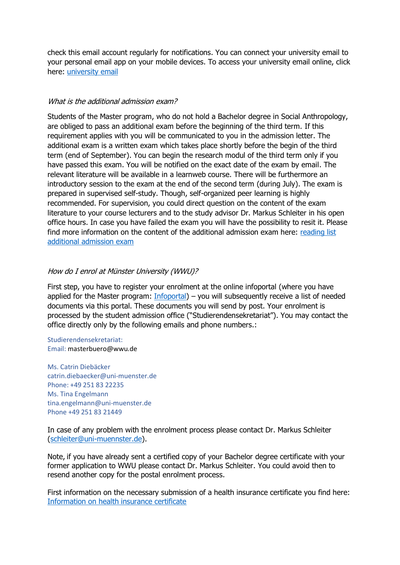check this email account regularly for notifications. You can connect your university email to your personal email app on your mobile devices. To access your university email online, click here: [university email](https://mein-ziv.uni-muenster.de/index.php)

#### What is the additional admission exam?

Students of the Master program, who do not hold a Bachelor degree in Social Anthropology, are obliged to pass an additional exam before the beginning of the third term. If this requirement applies with you will be communicated to you in the admission letter. The additional exam is a written exam which takes place shortly before the begin of the third term (end of September). You can begin the research modul of the third term only if you have passed this exam. You will be notified on the exact date of the exam by email. The relevant literature will be available in a learnweb course. There will be furthermore an introductory session to the exam at the end of the second term (during July). The exam is prepared in supervised self-study. Though, self-organized peer learning is highly recommended. For supervision, you could direct question on the content of the exam literature to your course lecturers and to the study advisor Dr. Markus Schleiter in his open office hours. In case you have failed the exam you will have the possibility to resit it. Please find more information on the content of the additional admission exam here: [reading list](https://www.uni-muenster.de/imperia/md/content/ethnologie/studieren/master/key_readings_master_in_social_anthropology.pdf)  [additional admission exam](https://www.uni-muenster.de/imperia/md/content/ethnologie/studieren/master/key_readings_master_in_social_anthropology.pdf)

# How do I enrol at Münster University (WWU)?

First step, you have to register your enrolment at the online infoportal (where you have applied for the Master program: [Infoportal\)](https://studienbewerbung.uni-muenster.de/infoportal/) – you will subsequently receive a list of needed documents via this portal. These documents you will send by post. Your enrolment is processed by the student admission office ("Studierendensekretariat"). You may contact the office directly only by the following emails and phone numbers.:

Studierendensekretariat: Email: masterbuero@wwu.de

Ms. Catrin Diebäcker catrin.diebaecker@uni-muenster.de Phone: +49 251 83 22235 Ms. Tina Engelmann tina.engelmann@uni-muenster.de Phone +49 251 83 21449

In case of any problem with the enrolment process please contact Dr. Markus Schleiter [\(schleiter@uni-muennster.de\)](mailto:schleiter@uni-muennster.de).

Note, if you have already sent a certified copy of your Bachelor degree certificate with your former application to WWU please contact Dr. Markus Schleiter. You could avoid then to resend another copy for the postal enrolment process.

First information on the necessary submission of a health insurance certificate you find here: [Information on health insurance certificate](https://www.uni-muenster.de/studieninteressierte/en/einschreibung/krankenversicherung.html)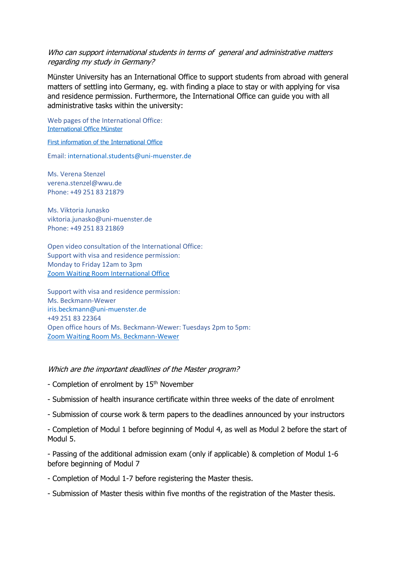#### Who can support international students in terms of general and administrative matters regarding my study in Germany?

Münster University has an International Office to support students from abroad with general matters of settling into Germany, eg. with finding a place to stay or with applying for visa and residence permission. Furthermore, the International Office can guide you with all administrative tasks within the university:

Web pages of the International Office: [International Office Münster](https://www.uni-muenster.de/InternationalOffice/en/studiereninms/index.html)

[First information of the International Office](https://www.uni-muenster.de/InternationalOffice/en/studiereninms/beratung.html)

Email: [international.students@uni-muenster.de](mailto:international.students@uni-muenster.de)

Ms. Verena Stenzel verena.stenzel@wwu.de Phone: +49 251 83 21879

Ms. Viktoria Junasko viktoria.junasko@uni-muenster.de Phone: +49 251 83 21869

Open video consultation of the International Office: Support with visa and residence permission: Monday to Friday 12am to 3pm [Zoom Waiting Room International Office](https://wwu.zoom.us/j/94304433160)

Support with visa and residence permission: Ms. Beckmann-Wewer [iris.beckmann@uni-muenster.de](mailto:iris.beckmann@uni-muenster.de) +49 251 83 22364 Open office hours of Ms. Beckmann-Wewer: Tuesdays 2pm to 5pm: [Zoom Waiting Room Ms. Beckmann-Wewer](https://wwu.zoom.us/j/98368694714)

#### Which are the important deadlines of the Master program?

- Completion of enrolment by 15<sup>th</sup> November
- Submission of health insurance certificate within three weeks of the date of enrolment
- Submission of course work & term papers to the deadlines announced by your instructors
- Completion of Modul 1 before beginning of Modul 4, as well as Modul 2 before the start of Modul 5.

- Passing of the additional admission exam (only if applicable) & completion of Modul 1-6 before beginning of Modul 7

- Completion of Modul 1-7 before registering the Master thesis.
- Submission of Master thesis within five months of the registration of the Master thesis.